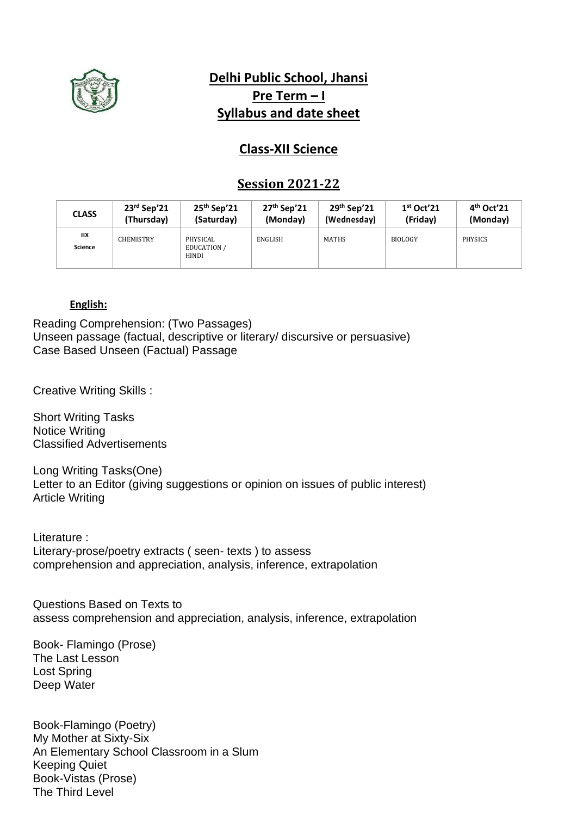

# **Delhi Public School, Jhansi Pre Term – I Syllabus and date sheet**

# **Class-XII Science**

## **Session 2021-22**

| <b>CLASS</b>         | $23rd$ Sep'21    | $25th$ Sep'21                                  | $27th$ Sep'21 | $29th$ Sep'21 | 1 <sup>st</sup> Oct'21 | $4th$ Oct <sup>2</sup> 21 |
|----------------------|------------------|------------------------------------------------|---------------|---------------|------------------------|---------------------------|
|                      | (Thursday)       | (Saturday)                                     | (Monday)      | (Wednesday)   | (Friday)               | (Monday)                  |
| ШX<br><b>Science</b> | <b>CHEMISTRY</b> | PHYSICAL<br><b>EDUCATION /</b><br><b>HINDI</b> | ENGLISH       | <b>MATHS</b>  | <b>BIOLOGY</b>         | <b>PHYSICS</b>            |

#### **English:**

Reading Comprehension: (Two Passages) Unseen passage (factual, descriptive or literary/ discursive or persuasive) Case Based Unseen (Factual) Passage

Creative Writing Skills :

Short Writing Tasks Notice Writing Classified Advertisements

Long Writing Tasks(One) Letter to an Editor (giving suggestions or opinion on issues of public interest) Article Writing

Literature : Literary-prose/poetry extracts ( seen- texts ) to assess comprehension and appreciation, analysis, inference, extrapolation

Questions Based on Texts to assess comprehension and appreciation, analysis, inference, extrapolation

Book- Flamingo (Prose) The Last Lesson Lost Spring Deep Water

Book-Flamingo (Poetry) My Mother at Sixty-Six An Elementary School Classroom in a Slum Keeping Quiet Book-Vistas (Prose) The Third Level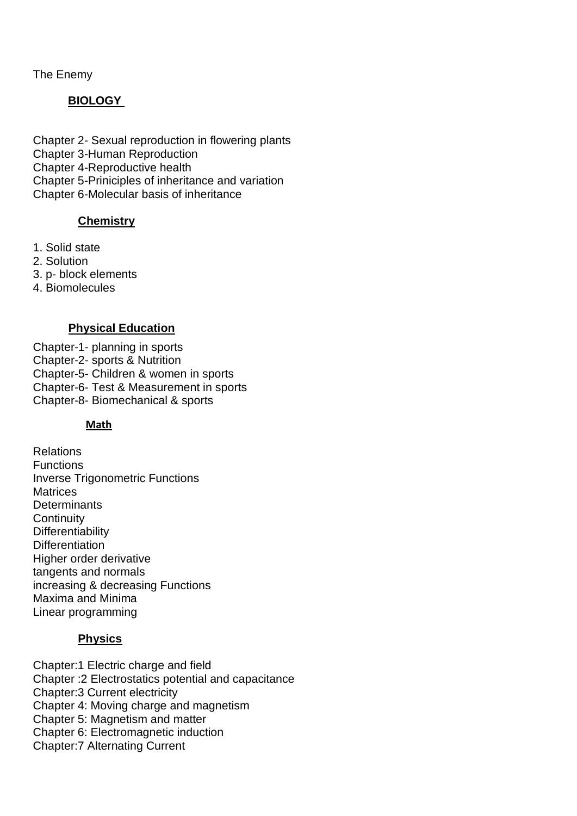The Enemy

### **BIOLOGY**

Chapter 2- Sexual reproduction in flowering plants Chapter 3-Human Reproduction Chapter 4-Reproductive health Chapter 5-Priniciples of inheritance and variation Chapter 6-Molecular basis of inheritance

#### **Chemistry**

- 1. Solid state
- 2. Solution

3. p- block elements

4. Biomolecules

#### **Physical Education**

Chapter-1- planning in sports

Chapter-2- sports & Nutrition

Chapter-5- Children & women in sports

Chapter-6- Test & Measurement in sports

Chapter-8- Biomechanical & sports

#### **Math**

Relations **Functions** Inverse Trigonometric Functions **Matrices Determinants Continuity Differentiability Differentiation** Higher order derivative tangents and normals increasing & decreasing Functions Maxima and Minima Linear programming

#### **Physics**

Chapter:1 Electric charge and field Chapter :2 Electrostatics potential and capacitance Chapter:3 Current electricity Chapter 4: Moving charge and magnetism Chapter 5: Magnetism and matter Chapter 6: Electromagnetic induction Chapter:7 Alternating Current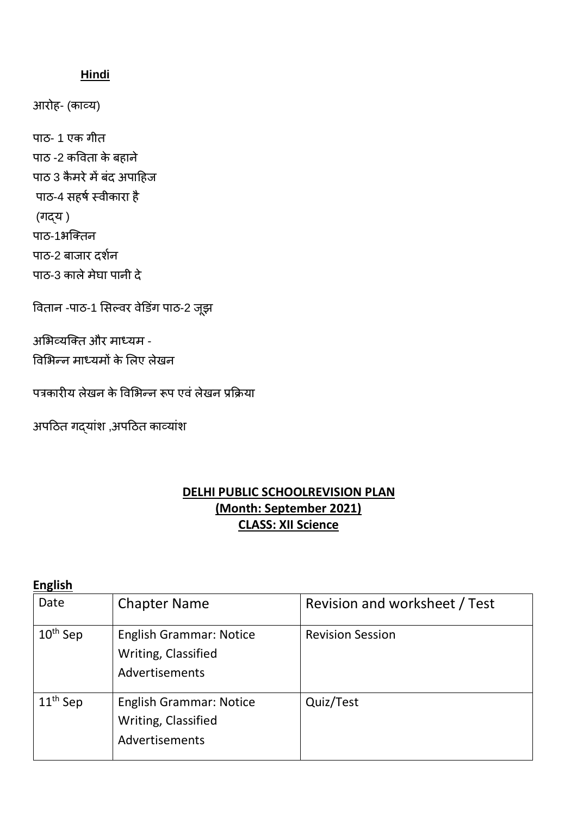## **Hindi**

आरोह- (काव्य)

पाठ- 1 एक गीत पाठ -2 कविता के बहाने पाठ 3 कैमरे में बंद अपाहिज पाठ-4 सहर्ष स्वीकारा है (गद्य ) पाठ-1भक्ततन पाठ-2 बाजार दर्षन पाठ-3 काले मेघा पानी दे

वितान -पाठ-1 सिल्वर वेडिंग पाठ-2 जूझ

असभव्यक्तत और माध्यम - विसभन्न माध्यमों के सलए लेखन

पत्रकारीय लेखन के विभिन्न रूप एवं लेखन प्रक्रिया

अपठित गद्यांश ,अपठित काव्यांश

# **DELHI PUBLIC SCHOOLREVISION PLAN (Month: September 2021) CLASS: XII Science**

**English** 

| Date                 | <b>Chapter Name</b>                                                     | Revision and worksheet / Test |
|----------------------|-------------------------------------------------------------------------|-------------------------------|
| $10^{\text{th}}$ Sep | <b>English Grammar: Notice</b><br>Writing, Classified<br>Advertisements | <b>Revision Session</b>       |
| $11^{\text{th}}$ Sep | <b>English Grammar: Notice</b><br>Writing, Classified<br>Advertisements | Quiz/Test                     |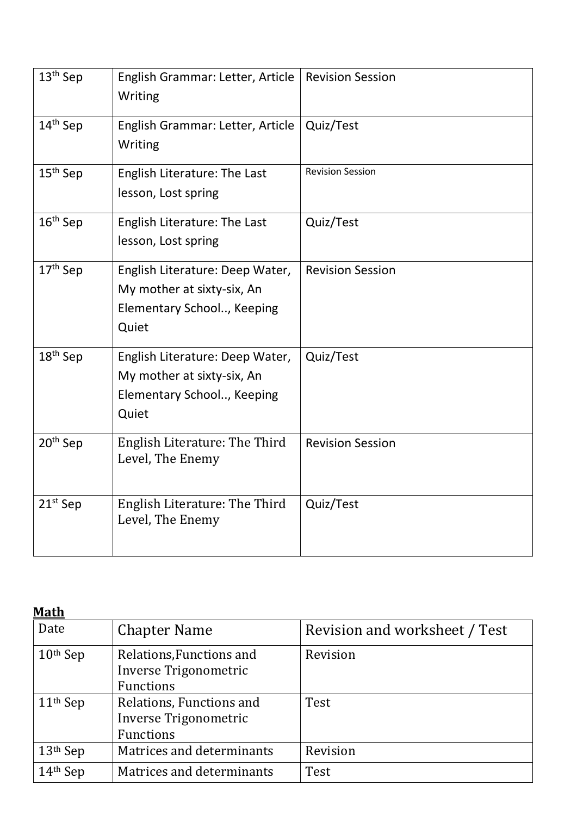| $13th$ Sep           | English Grammar: Letter, Article<br>Writing                                                          | <b>Revision Session</b> |
|----------------------|------------------------------------------------------------------------------------------------------|-------------------------|
| 14 <sup>th</sup> Sep | English Grammar: Letter, Article<br>Writing                                                          | Quiz/Test               |
| $15th$ Sep           | English Literature: The Last<br>lesson, Lost spring                                                  | <b>Revision Session</b> |
| $16th$ Sep           | English Literature: The Last<br>lesson, Lost spring                                                  | Quiz/Test               |
| 17 <sup>th</sup> Sep | English Literature: Deep Water,<br>My mother at sixty-six, An<br>Elementary School, Keeping<br>Quiet | <b>Revision Session</b> |
| 18 <sup>th</sup> Sep | English Literature: Deep Water,<br>My mother at sixty-six, An<br>Elementary School, Keeping<br>Quiet | Quiz/Test               |
| 20 <sup>th</sup> Sep | English Literature: The Third<br>Level, The Enemy                                                    | <b>Revision Session</b> |
| $21st$ Sep           | English Literature: The Third<br>Level, The Enemy                                                    | Quiz/Test               |

# **Math**

| Date       | <b>Chapter Name</b>                                                   | Revision and worksheet / Test |
|------------|-----------------------------------------------------------------------|-------------------------------|
| $10th$ Sep | Relations, Functions and<br>Inverse Trigonometric<br><b>Functions</b> | Revision                      |
| $11th$ Sep | Relations, Functions and<br>Inverse Trigonometric<br>Functions        | Test                          |
| $13th$ Sep | Matrices and determinants                                             | Revision                      |
| $14th$ Sep | Matrices and determinants                                             | <b>Test</b>                   |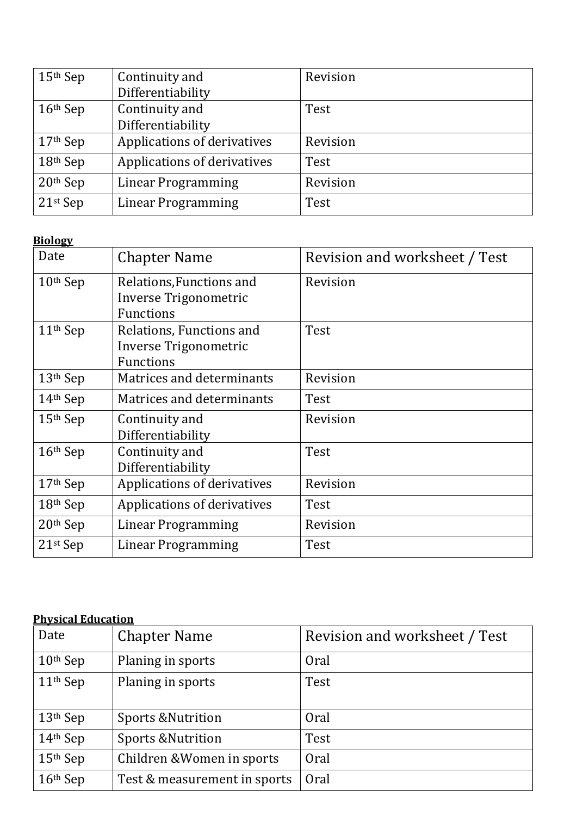| $15th$ Sep             | Continuity and<br>Differentiability | Revision |
|------------------------|-------------------------------------|----------|
| $16th$ Sep             | Continuity and<br>Differentiability | Test     |
| $17th$ Sep             | Applications of derivatives         | Revision |
| $18th$ Sep             | Applications of derivatives         | Test     |
| $20th$ Sep             | <b>Linear Programming</b>           | Revision |
| $21$ <sup>st</sup> Sep | Linear Programming                  | Test     |

# **Biology**

| Date                   | <b>Chapter Name</b>                                                   | Revision and worksheet / Test |
|------------------------|-----------------------------------------------------------------------|-------------------------------|
| $10th$ Sep             | Relations, Functions and<br>Inverse Trigonometric<br><b>Functions</b> | Revision                      |
| $11th$ Sep             | Relations, Functions and<br>Inverse Trigonometric<br><b>Functions</b> | Test                          |
| 13th Sep               | Matrices and determinants                                             | Revision                      |
| 14th Sep               | Matrices and determinants                                             | Test                          |
| $15th$ Sep             | Continuity and<br>Differentiability                                   | Revision                      |
| $16th$ Sep             | Continuity and<br>Differentiability                                   | Test                          |
| 17th Sep               | Applications of derivatives                                           | Revision                      |
| $18th$ Sep             | Applications of derivatives                                           | Test                          |
| $20th$ Sep             | Linear Programming                                                    | Revision                      |
| $21$ <sup>st</sup> Sep | <b>Linear Programming</b>                                             | Test                          |

### **Physical Education**

| Date       | <b>Chapter Name</b>           | Revision and worksheet / Test |
|------------|-------------------------------|-------------------------------|
| $10th$ Sep | Planing in sports             | Oral                          |
| $11th$ Sep | Planing in sports             | Test                          |
| $13th$ Sep | <b>Sports &amp; Nutrition</b> | Oral                          |
| $14th$ Sep | <b>Sports &amp; Nutrition</b> | Test                          |
| $15th$ Sep | Children & Women in sports    | Oral                          |
| $16th$ Sep | Test & measurement in sports  | Oral                          |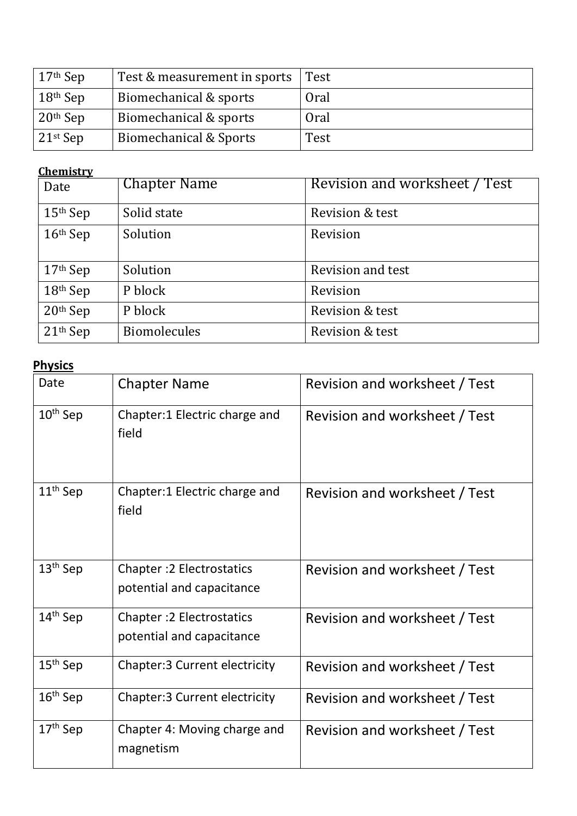| $17th$ Sep             | Test & measurement in sports | Test |
|------------------------|------------------------------|------|
| $18^{\rm th}$ Sep      | Biomechanical & sports       | Oral |
| $20th$ Sep             | Biomechanical & sports       | Oral |
| $21$ <sup>st</sup> Sep | Biomechanical & Sports       | Test |

## **Chemistry**

| Date       | <b>Chapter Name</b> | Revision and worksheet / Test |
|------------|---------------------|-------------------------------|
| $15th$ Sep | Solid state         | Revision & test               |
| $16th$ Sep | Solution            | Revision                      |
| $17th$ Sep | Solution            | Revision and test             |
| $18th$ Sep | P block             | Revision                      |
| $20th$ Sep | P block             | Revision & test               |
| $21th$ Sep | <b>Biomolecules</b> | Revision & test               |

# **Physics**

| Date                 | <b>Chapter Name</b>                                           | Revision and worksheet / Test |
|----------------------|---------------------------------------------------------------|-------------------------------|
| $10th$ Sep           | Chapter:1 Electric charge and<br>field                        | Revision and worksheet / Test |
| 11 <sup>th</sup> Sep | Chapter:1 Electric charge and<br>field                        | Revision and worksheet / Test |
| $13th$ Sep           | <b>Chapter: 2 Electrostatics</b><br>potential and capacitance | Revision and worksheet / Test |
| $14th$ Sep           | <b>Chapter: 2 Electrostatics</b><br>potential and capacitance | Revision and worksheet / Test |
| $15th$ Sep           | <b>Chapter:3 Current electricity</b>                          | Revision and worksheet / Test |
| $16th$ Sep           | <b>Chapter:3 Current electricity</b>                          | Revision and worksheet / Test |
| $17th$ Sep           | Chapter 4: Moving charge and<br>magnetism                     | Revision and worksheet / Test |